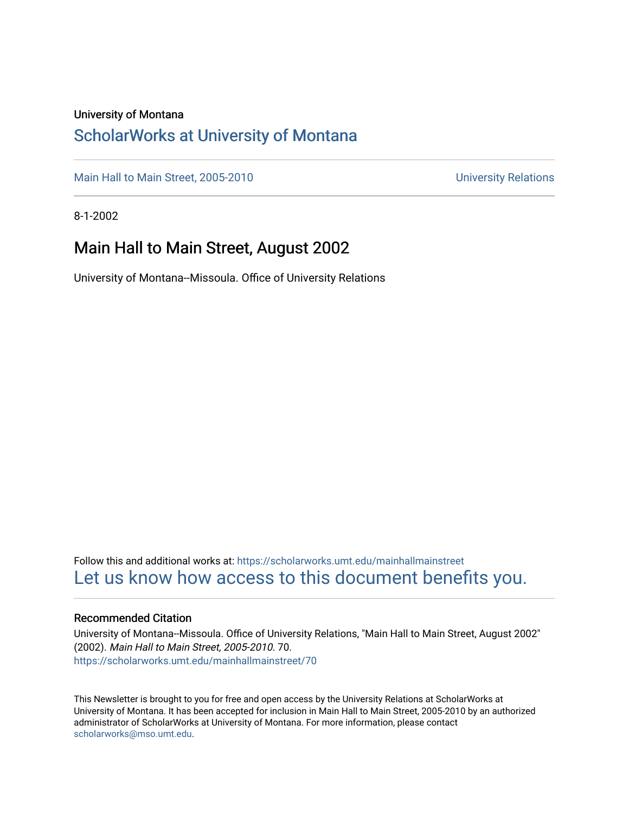#### University of Montana

## [ScholarWorks at University of Montana](https://scholarworks.umt.edu/)

[Main Hall to Main Street, 2005-2010](https://scholarworks.umt.edu/mainhallmainstreet) Main Hall to Main Street, 2005-2010

8-1-2002

## Main Hall to Main Street, August 2002

University of Montana--Missoula. Office of University Relations

Follow this and additional works at: [https://scholarworks.umt.edu/mainhallmainstreet](https://scholarworks.umt.edu/mainhallmainstreet?utm_source=scholarworks.umt.edu%2Fmainhallmainstreet%2F70&utm_medium=PDF&utm_campaign=PDFCoverPages) [Let us know how access to this document benefits you.](https://goo.gl/forms/s2rGfXOLzz71qgsB2) 

#### Recommended Citation

University of Montana--Missoula. Office of University Relations, "Main Hall to Main Street, August 2002" (2002). Main Hall to Main Street, 2005-2010. 70. [https://scholarworks.umt.edu/mainhallmainstreet/70](https://scholarworks.umt.edu/mainhallmainstreet/70?utm_source=scholarworks.umt.edu%2Fmainhallmainstreet%2F70&utm_medium=PDF&utm_campaign=PDFCoverPages) 

This Newsletter is brought to you for free and open access by the University Relations at ScholarWorks at University of Montana. It has been accepted for inclusion in Main Hall to Main Street, 2005-2010 by an authorized administrator of ScholarWorks at University of Montana. For more information, please contact [scholarworks@mso.umt.edu.](mailto:scholarworks@mso.umt.edu)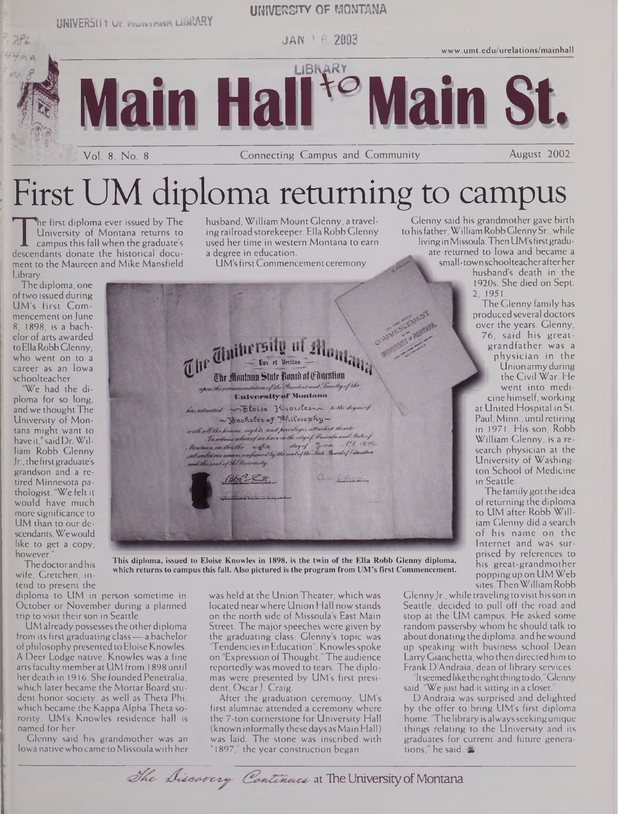**UNIVERSIIY ur LIBRARY**

#### **UNIVERSITY of MONTANA**

JAN 1 6 2003

LIBRARY

**[www.umt.edu/urelations/mainhall](http://www.umt.edu/urelations/mainhall)**

**Main HaH'Main St.**

Vol. 8, No. <sup>8</sup> Connecting Campus and Community August 2002

# First UM diploma returning to campus

University of Montana returns to<br>
campus this fall when the graduate's<br>
descendants donate the historical docu-<br>
ment to the Maureen and Mike Mansfield he first diploma ever issued by The University of Montana returns to campus this fall when the graduate's ment to the Maureen and Mike Mansfield Library.

husband, William Mount Glenny, a travelingrailroadstorekeeper. EllaRobb Glenny used her time in western Montana to earn a degree in education.

UM'sfirstCommencementceremony

**ttlif iflmilniin Slnlf iinnrii nftfihirntiun UniversityOF Montana**  $L$  admitted  $\sim$  bloise Micorolesse with digiting

Achelor of Whilesophy —'<br>Whall the homes reglits and percloges attached thereto<br>In witnes where for hore in the ritgef blesseds and their j

 $15.1898$ 

Our flat

*Mainbeat was monices are formed by the seat of the Main-Branch of Education*<br>with the seat of the University<br><u>I. Andre Loty Company</u>

Peter 3 Rust

 $\frac{1}{\sqrt{2}}$  **f**ux *et* **li**rritai**s** 

The diploma, one oftwo issued during UM's first Commencement on June 8, 1898, is a bachelor of arts awarded to Ella Robb Glenny. who went on to a career as an Iowa schoolteacher.

 $786$ 

"We had the diploma for so long, and we thought The University of Montana might want to have it,"saidDr.William Robb Glenny Jr.,the firstgraduate's grandson and a retired Minnesota pathologist. "We felt it would have much more significance to UM than to our descendants.Wewould like to get a copy, however."

The doctor and his wife, Gretchen, intend to present the

diploma to UM in person sometime in October or November during a planned trip to visit their son in Seattle.

UM already possessesthe otherdiploma from its first graduating class—a bachelor of philosophy presented to Eloise Knowles. A Deer Lodge native, Knowles was a fine arts faculty member at UM from 1898 until her death in 1916. She founded Penetralia, which later became the Mortar Board student honor society, as well as Theta Phi, which became the Kappa Alpha Theta sorority. UM's Knowles residence hall is named for her.

Glenny said his grandmother was an Iowa native who came to Missoula with her

was held at the Union Theater, which was located nearwhere Union Hall nowstands on the north side of Missoula's East Main Street. The major speeches were given by the graduating class: Glenny's topic was "Tendencies in Education", Knowles spoke on "Expression ofThought."The audience reportedly was moved to tears. The diplomas were presented by UM's first president, Oscar J. Craig.

After the graduation ceremony, UM's first alumnae attended a ceremony where the 7-ton cornerstone for University Hall (known informally these days asMain Hall) was laid. The stone was inscribed with "1897," the year construction began.

Glenny said his grandmother gave birth tohis father,WilliamRobbGlennySr., while livinginMissoula.ThenUM'sfirstgraduate returned to Iowa and became a small-town schoolteacherafterher husband's death in the 1920s. She died on Sept. 2, 1951.

The Glenny family has produced several doctors over the years. Glenny, 76, said his greatgrandfather was <sup>a</sup> physician in the Union army during the Civil War. He went into medicine himself, working at United Hospital in St. Paul, Minn., until retiring in 1971. His son, Robb William Glenny, is a research physician at the University of Washington School of Medicine in Seattle.

The family got the idea ofreturning the diploma to UM after Robb William Glenny did a search of his name on the Internet and was surprised by references to his great-grandmother poppingup on UMWeb sites.ThenWilliam Robb

Glenny Jr., while traveling to visit his son in Seattle, decided to pull off the road and stop at the UM campus. He asked some random passersby whom he should talk to about donating the diploma, and he wound up speaking with business school Dean LarryGianchetta,who then directed him to Frank D'Andraia, dean of library services.

"Itseemedliketherightthingtodo,"Glenny said. "We just had it sitting in a closet."

D'Andraia was surprised and delighted by the offer to bring UM's first diploma home. "The library is always seeking unique things relating to the University and its graduates for current and future generations," he said.

#### **This diploma, issued to Eloise Knowles in 1898, is the twin of the Ella Robb Glenny diploma, which returns to campus this fall. Also pictured is the program from UM's first Commencement.**

The Discovery Continues at The University of Montana